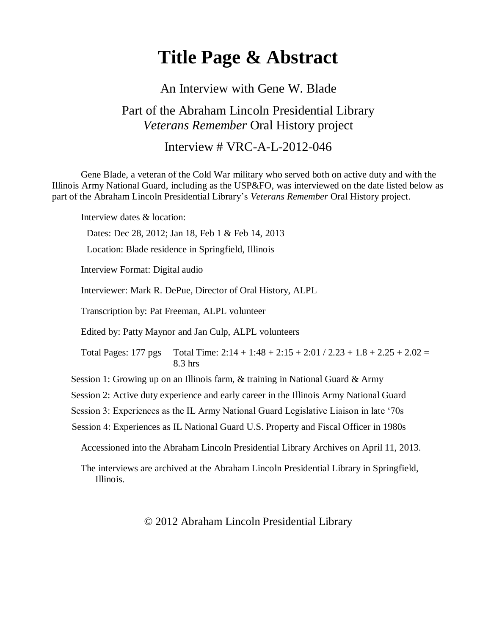# **Title Page & Abstract**

#### An Interview with Gene W. Blade

### Part of the Abraham Lincoln Presidential Library *Veterans Remember* Oral History project

#### Interview # VRC-A-L-2012-046

Gene Blade, a veteran of the Cold War military who served both on active duty and with the Illinois Army National Guard, including as the USP&FO, was interviewed on the date listed below as part of the Abraham Lincoln Presidential Library's *Veterans Remember* Oral History project.

Interview dates & location:

Dates: Dec 28, 2012; Jan 18, Feb 1 & Feb 14, 2013

Location: Blade residence in Springfield, Illinois

Interview Format: Digital audio

Interviewer: Mark R. DePue, Director of Oral History, ALPL

Transcription by: Pat Freeman, ALPL volunteer

Edited by: Patty Maynor and Jan Culp, ALPL volunteers

Total Pages: 177 pgs Total Time:  $2:14 + 1:48 + 2:15 + 2:01 / 2.23 + 1.8 + 2.25 + 2.02 =$ 8.3 hrs

Session 1: Growing up on an Illinois farm, & training in National Guard & Army

Session 2: Active duty experience and early career in the Illinois Army National Guard

Session 3: Experiences as the IL Army National Guard Legislative Liaison in late '70s

Session 4: Experiences as IL National Guard U.S. Property and Fiscal Officer in 1980s

Accessioned into the Abraham Lincoln Presidential Library Archives on April 11, 2013.

The interviews are archived at the Abraham Lincoln Presidential Library in Springfield, Illinois.

© 2012 Abraham Lincoln Presidential Library